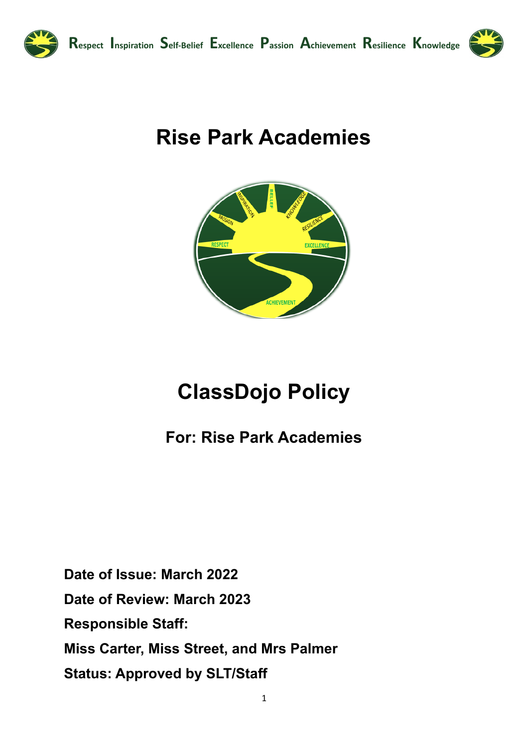

# **Rise Park Academies**



## **ClassDojo Policy**

### **For: Rise Park Academies**

Date of Issue: March 2022 Date of Review: March 2023 **Responsible Staff:** Miss Carter, Miss Street, and Mrs Palmer **Status: Approved by SLT/Staff**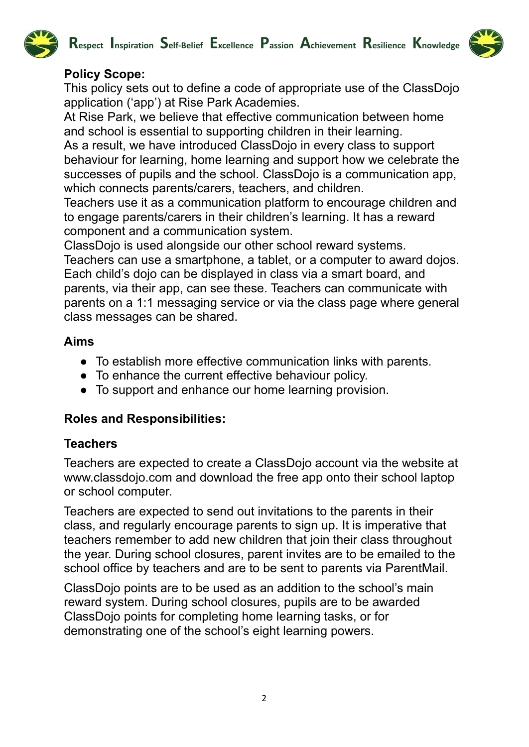



#### **Policy Scope:**

This policy sets out to define a code of appropriate use of the ClassDojo application ('app') at Rise Park Academies.

At Rise Park, we believe that effective communication between home and school is essential to supporting children in their learning.

As a result, we have introduced ClassDojo in every class to support behaviour for learning, home learning and support how we celebrate the successes of pupils and the school. ClassDojo is a communication app, which connects parents/carers, teachers, and children.

Teachers use it as a communication platform to encourage children and to engage parents/carers in their children's learning. It has a reward component and a communication system.

ClassDojo is used alongside our other school reward systems.

Teachers can use a smartphone, a tablet, or a computer to award dojos. Each child's dojo can be displayed in class via a smart board, and parents, via their app, can see these. Teachers can communicate with parents on a 1:1 messaging service or via the class page where general class messages can be shared.

#### **Aims**

- To establish more effective communication links with parents.
- To enhance the current effective behaviour policy.
- To support and enhance our home learning provision.

#### **Roles and Responsibilities:**

#### **Teachers**

Teachers are expected to create a ClassDojo account via the website at www.classdojo.com and download the free app onto their school laptop or school computer.

Teachers are expected to send out invitations to the parents in their class, and regularly encourage parents to sign up. It is imperative that teachers remember to add new children that join their class throughout the year. During school closures, parent invites are to be emailed to the school office by teachers and are to be sent to parents via ParentMail.

ClassDojo points are to be used as an addition to the school's main reward system. During school closures, pupils are to be awarded ClassDojo points for completing home learning tasks, or for demonstrating one of the school's eight learning powers.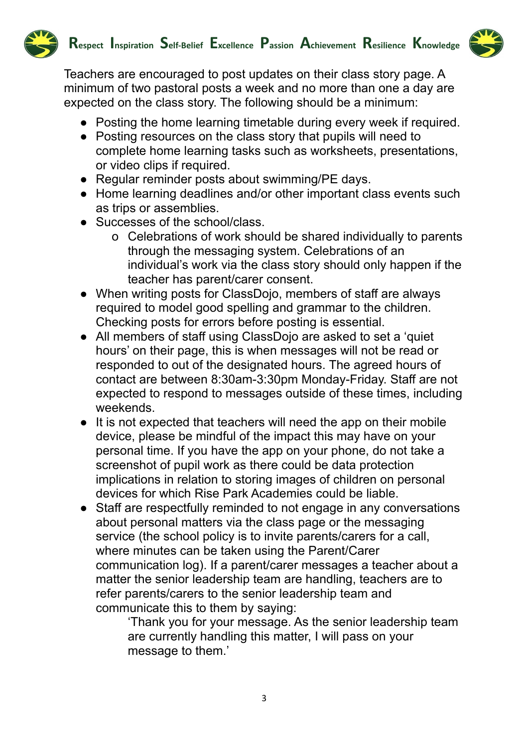

Teachers are encouraged to post updates on their class story page. A minimum of two pastoral posts a week and no more than one a day are expected on the class story. The following should be a minimum:

- Posting the home learning timetable during every week if required.
- Posting resources on the class story that pupils will need to complete home learning tasks such as worksheets, presentations, or video clips if required.
- Regular reminder posts about swimming/PE days.
- Home learning deadlines and/or other important class events such as trips or assemblies.
- Successes of the school/class.
	- o Celebrations of work should be shared individually to parents through the messaging system. Celebrations of an individual's work via the class story should only happen if the teacher has parent/carer consent.
- When writing posts for ClassDojo, members of staff are always required to model good spelling and grammar to the children. Checking posts for errors before posting is essential.
- All members of staff using ClassDojo are asked to set a 'quiet hours' on their page, this is when messages will not be read or responded to out of the designated hours. The agreed hours of contact are between 8:30am-3:30pm Monday-Friday. Staff are not expected to respond to messages outside of these times, including weekends.
- It is not expected that teachers will need the app on their mobile device, please be mindful of the impact this may have on your personal time. If you have the app on your phone, do not take a screenshot of pupil work as there could be data protection implications in relation to storing images of children on personal devices for which Rise Park Academies could be liable.
- Staff are respectfully reminded to not engage in any conversations about personal matters via the class page or the messaging service (the school policy is to invite parents/carers for a call, where minutes can be taken using the Parent/Carer communication log). If a parent/carer messages a teacher about a matter the senior leadership team are handling, teachers are to refer parents/carers to the senior leadership team and communicate this to them by saying:

'Thank you for your message. As the senior leadership team are currently handling this matter, I will pass on your message to them.'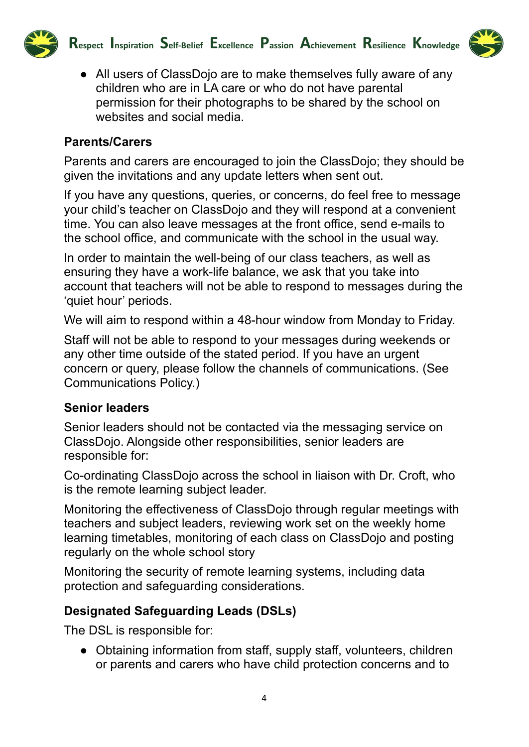

- 
- All users of ClassDojo are to make themselves fully aware of any children who are in LA care or who do not have parental permission for their photographs to be shared by the school on websites and social media.

#### **Parents/Carers**

Parents and carers are encouraged to join the ClassDojo; they should be given the invitations and any update letters when sent out.

If you have any questions, queries, or concerns, do feel free to message your child's teacher on ClassDojo and they will respond at a convenient time. You can also leave messages at the front office, send e-mails to the school office, and communicate with the school in the usual way.

In order to maintain the well-being of our class teachers, as well as ensuring they have a work-life balance, we ask that you take into account that teachers will not be able to respond to messages during the 'quiet hour' periods.

We will aim to respond within a 48-hour window from Monday to Friday.

Staff will not be able to respond to your messages during weekends or any other time outside of the stated period. If you have an urgent concern or query, please follow the channels of communications. (See Communications Policy.)

#### **Senior leaders**

Senior leaders should not be contacted via the messaging service on ClassDojo. Alongside other responsibilities, senior leaders are responsible for:

Co-ordinating ClassDojo across the school in liaison with Dr. Croft, who is the remote learning subject leader.

Monitoring the effectiveness of ClassDojo through regular meetings with teachers and subject leaders, reviewing work set on the weekly home learning timetables, monitoring of each class on ClassDojo and posting regularly on the whole school story

Monitoring the security of remote learning systems, including data protection and safeguarding considerations.

#### **Designated Safeguarding Leads (DSLs)**

The DSL is responsible for:

• Obtaining information from staff, supply staff, volunteers, children or parents and carers who have child protection concerns and to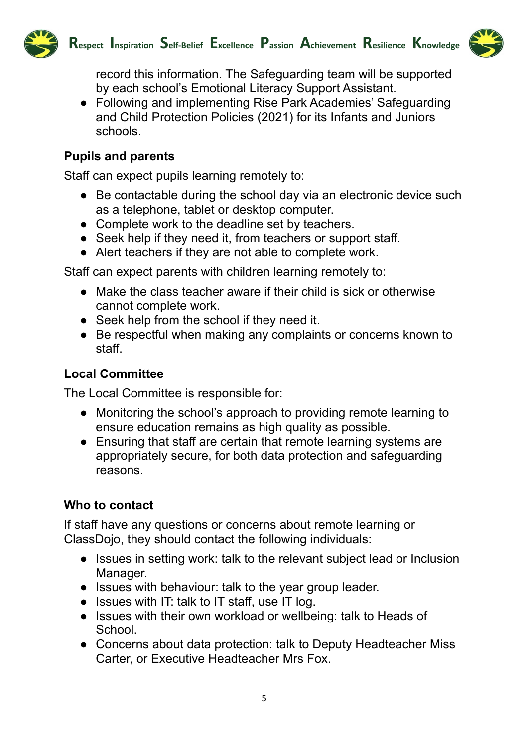



record this information. The Safeguarding team will be supported by each school's Emotional Literacy Support Assistant.

● Following and implementing Rise Park Academies' Safeguarding and Child Protection Policies (2021) for its Infants and Juniors schools.

#### **Pupils and parents**

Staff can expect pupils learning remotely to:

- Be contactable during the school day via an electronic device such as a telephone, tablet or desktop computer.
- Complete work to the deadline set by teachers.
- Seek help if they need it, from teachers or support staff.
- Alert teachers if they are not able to complete work.

Staff can expect parents with children learning remotely to:

- Make the class teacher aware if their child is sick or otherwise cannot complete work.
- Seek help from the school if they need it.
- Be respectful when making any complaints or concerns known to staff.

#### **Local Committee**

The Local Committee is responsible for:

- Monitoring the school's approach to providing remote learning to ensure education remains as high quality as possible.
- Ensuring that staff are certain that remote learning systems are appropriately secure, for both data protection and safeguarding reasons.

#### **Who to contact**

If staff have any questions or concerns about remote learning or ClassDojo, they should contact the following individuals:

- Issues in setting work: talk to the relevant subject lead or Inclusion Manager.
- Issues with behaviour: talk to the year group leader.
- Issues with IT: talk to IT staff, use IT log.
- Issues with their own workload or wellbeing: talk to Heads of School.
- Concerns about data protection: talk to Deputy Headteacher Miss Carter, or Executive Headteacher Mrs Fox.